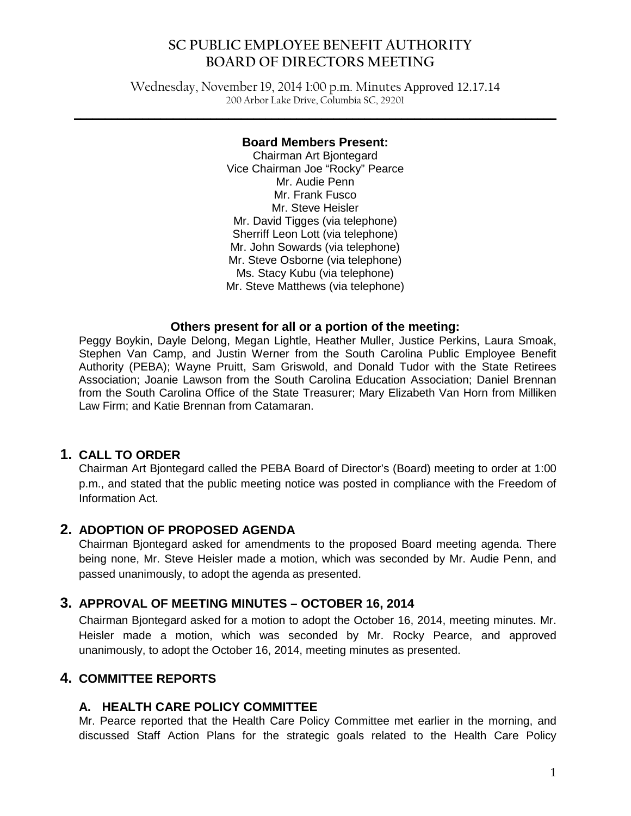# **SC PUBLIC EMPLOYEE BENEFIT AUTHORITY BOARD OF DIRECTORS MEETING**

Wednesday, November 19, 2014 1:00 p.m. Minutes Approved 12.17.14 200 Arbor Lake Drive, Columbia SC, 29201

#### **Board Members Present:**

**\_\_\_\_\_\_\_\_\_\_\_\_\_\_\_\_\_\_\_\_\_\_\_\_\_\_\_\_\_\_\_\_\_\_\_\_\_\_\_\_\_\_\_\_\_\_\_\_\_\_\_\_\_\_\_\_\_\_\_\_\_\_\_\_\_\_\_\_\_\_\_\_\_\_\_\_\_\_**

Chairman Art Bjontegard Vice Chairman Joe "Rocky" Pearce Mr. Audie Penn Mr. Frank Fusco Mr. Steve Heisler Mr. David Tigges (via telephone) Sherriff Leon Lott (via telephone) Mr. John Sowards (via telephone) Mr. Steve Osborne (via telephone) Ms. Stacy Kubu (via telephone) Mr. Steve Matthews (via telephone)

#### **Others present for all or a portion of the meeting:**

Peggy Boykin, Dayle Delong, Megan Lightle, Heather Muller, Justice Perkins, Laura Smoak, Stephen Van Camp, and Justin Werner from the South Carolina Public Employee Benefit Authority (PEBA); Wayne Pruitt, Sam Griswold, and Donald Tudor with the State Retirees Association; Joanie Lawson from the South Carolina Education Association; Daniel Brennan from the South Carolina Office of the State Treasurer; Mary Elizabeth Van Horn from Milliken Law Firm; and Katie Brennan from Catamaran.

### **1. CALL TO ORDER**

Chairman Art Bjontegard called the PEBA Board of Director's (Board) meeting to order at 1:00 p.m., and stated that the public meeting notice was posted in compliance with the Freedom of Information Act.

### **2. ADOPTION OF PROPOSED AGENDA**

Chairman Bjontegard asked for amendments to the proposed Board meeting agenda. There being none, Mr. Steve Heisler made a motion, which was seconded by Mr. Audie Penn, and passed unanimously, to adopt the agenda as presented.

### **3. APPROVAL OF MEETING MINUTES – OCTOBER 16, 2014**

Chairman Bjontegard asked for a motion to adopt the October 16, 2014, meeting minutes. Mr. Heisler made a motion, which was seconded by Mr. Rocky Pearce, and approved unanimously, to adopt the October 16, 2014, meeting minutes as presented.

## **4. COMMITTEE REPORTS**

### **A. HEALTH CARE POLICY COMMITTEE**

Mr. Pearce reported that the Health Care Policy Committee met earlier in the morning, and discussed Staff Action Plans for the strategic goals related to the Health Care Policy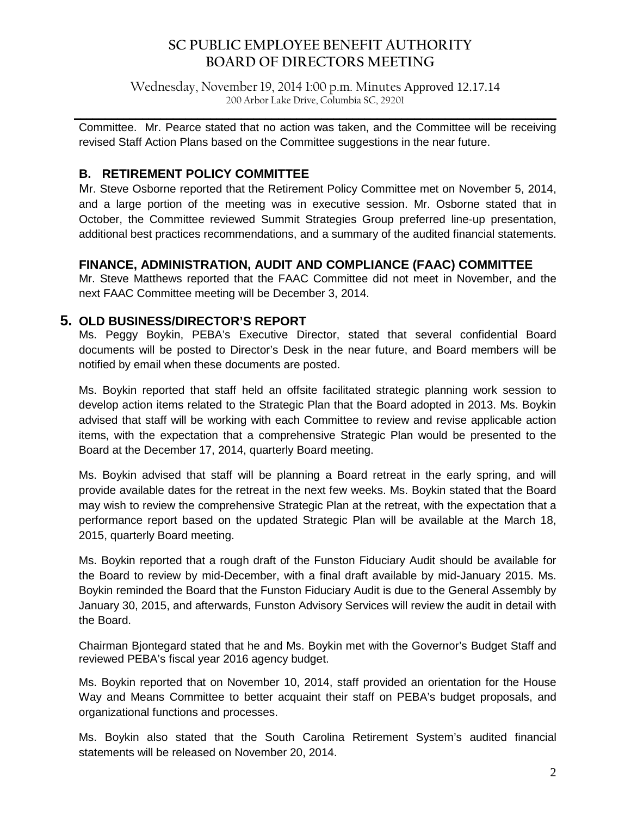# **SC PUBLIC EMPLOYEE BENEFIT AUTHORITY BOARD OF DIRECTORS MEETING**

Wednesday, November 19, 2014 1:00 p.m. Minutes Approved 12.17.14 200 Arbor Lake Drive, Columbia SC, 29201

**\_\_\_\_\_\_\_\_\_\_\_\_\_\_\_\_\_\_\_\_\_\_\_\_\_\_\_\_\_\_\_\_\_\_\_\_\_\_\_\_\_\_\_\_\_\_\_\_\_\_\_\_\_\_\_\_\_\_\_\_\_\_\_\_\_\_\_\_\_\_\_\_\_\_\_\_\_\_** Committee. Mr. Pearce stated that no action was taken, and the Committee will be receiving revised Staff Action Plans based on the Committee suggestions in the near future.

### **B. RETIREMENT POLICY COMMITTEE**

Mr. Steve Osborne reported that the Retirement Policy Committee met on November 5, 2014, and a large portion of the meeting was in executive session. Mr. Osborne stated that in October, the Committee reviewed Summit Strategies Group preferred line-up presentation, additional best practices recommendations, and a summary of the audited financial statements.

### **FINANCE, ADMINISTRATION, AUDIT AND COMPLIANCE (FAAC) COMMITTEE**

Mr. Steve Matthews reported that the FAAC Committee did not meet in November, and the next FAAC Committee meeting will be December 3, 2014.

### **5. OLD BUSINESS/DIRECTOR'S REPORT**

Ms. Peggy Boykin, PEBA's Executive Director, stated that several confidential Board documents will be posted to Director's Desk in the near future, and Board members will be notified by email when these documents are posted.

Ms. Boykin reported that staff held an offsite facilitated strategic planning work session to develop action items related to the Strategic Plan that the Board adopted in 2013. Ms. Boykin advised that staff will be working with each Committee to review and revise applicable action items, with the expectation that a comprehensive Strategic Plan would be presented to the Board at the December 17, 2014, quarterly Board meeting.

Ms. Boykin advised that staff will be planning a Board retreat in the early spring, and will provide available dates for the retreat in the next few weeks. Ms. Boykin stated that the Board may wish to review the comprehensive Strategic Plan at the retreat, with the expectation that a performance report based on the updated Strategic Plan will be available at the March 18, 2015, quarterly Board meeting.

Ms. Boykin reported that a rough draft of the Funston Fiduciary Audit should be available for the Board to review by mid-December, with a final draft available by mid-January 2015. Ms. Boykin reminded the Board that the Funston Fiduciary Audit is due to the General Assembly by January 30, 2015, and afterwards, Funston Advisory Services will review the audit in detail with the Board.

Chairman Bjontegard stated that he and Ms. Boykin met with the Governor's Budget Staff and reviewed PEBA's fiscal year 2016 agency budget.

Ms. Boykin reported that on November 10, 2014, staff provided an orientation for the House Way and Means Committee to better acquaint their staff on PEBA's budget proposals, and organizational functions and processes.

Ms. Boykin also stated that the South Carolina Retirement System's audited financial statements will be released on November 20, 2014.